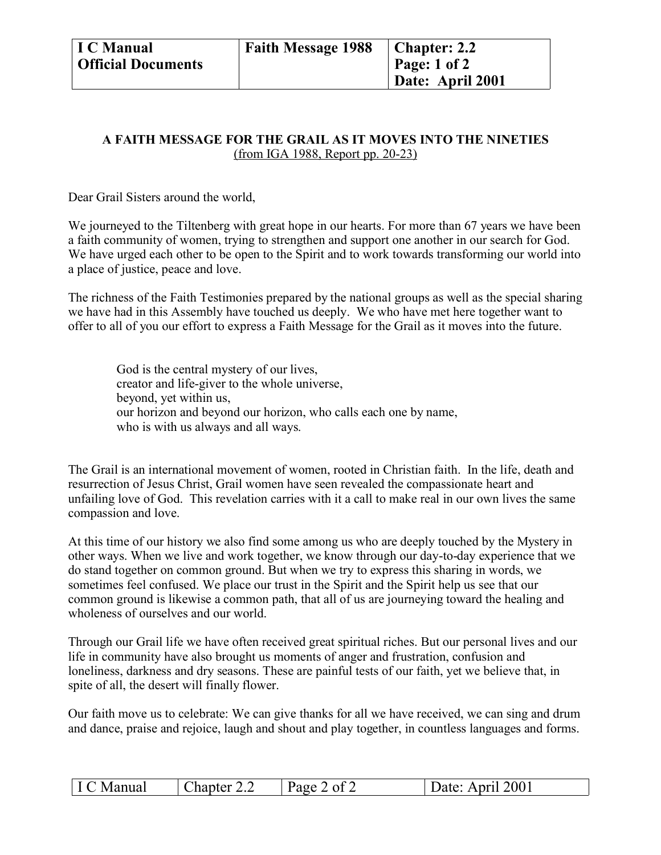## **A FAITH MESSAGE FOR THE GRAIL AS IT MOVES INTO THE NINETIES** (from IGA 1988, Report pp. 20-23)

Dear Grail Sisters around the world,

We journeyed to the Tiltenberg with great hope in our hearts. For more than 67 years we have been a faith community of women, trying to strengthen and support one another in our search for God. We have urged each other to be open to the Spirit and to work towards transforming our world into a place of justice, peace and love.

The richness of the Faith Testimonies prepared by the national groups as well as the special sharing we have had in this Assembly have touched us deeply. We who have met here together want to offer to all of you our effort to express a Faith Message for the Grail as it moves into the future.

God is the central mystery of our lives, creator and life-giver to the whole universe, beyond, yet within us, our horizon and beyond our horizon, who calls each one by name, who is with us always and all ways.

The Grail is an international movement of women, rooted in Christian faith. In the life, death and resurrection of Jesus Christ, Grail women have seen revealed the compassionate heart and unfailing love of God. This revelation carries with it a call to make real in our own lives the same compassion and love.

At this time of our history we also find some among us who are deeply touched by the Mystery in other ways. When we live and work together, we know through our day-to-day experience that we do stand together on common ground. But when we try to express this sharing in words, we sometimes feel confused. We place our trust in the Spirit and the Spirit help us see that our common ground is likewise a common path, that all of us are journeying toward the healing and wholeness of ourselves and our world.

Through our Grail life we have often received great spiritual riches. But our personal lives and our life in community have also brought us moments of anger and frustration, confusion and loneliness, darkness and dry seasons. These are painful tests of our faith, yet we believe that, in spite of all, the desert will finally flower.

Our faith move us to celebrate: We can give thanks for all we have received, we can sing and drum and dance, praise and rejoice, laugh and shout and play together, in countless languages and forms.

| I C Manual | Chapter 2.2 | Page 2 of 2 | Date: April 2001 |
|------------|-------------|-------------|------------------|
|------------|-------------|-------------|------------------|